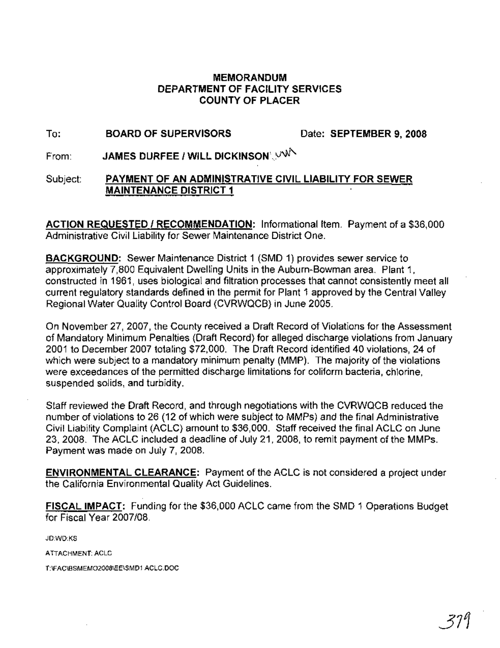### **MEMORANDUM DEPARTMENT OF FACILITY SERVICES COUNTY OF PLACER**

#### To: **BOARD OF SUPERVISORS** Date: **SEPTEMBER 9, 2008**

From: **JAMES DURFEE / WILL DICKINSON'. VN** 

#### Subject: **PAYMENT OF AN ADMINISTRATIVE CIVIL LIABILITY FOR SEWER MAINTENANCE DISTRICT 1**

**ACTION REQUESTED I RECOMMENDATION:** Informational Item. Payment of a \$36,000 Administrative Civil Liability for Sewer Maintenance District One. .

**BACKGROUND:** Sewer Maintenance District 1 (SMD 1) provides sewer service to approximately 7,800 Equivalent Dwelling Units in the Auburn-Bowman area. Plant 1, constructed in 1961, uses biological and filtration processes that cannot consistently meet all current regulatory standards defined in the permit for Plant 1 approved by the Central Valley Regional Water Quality Control Board (CVRWQCB) in June 2005.

On November 27,2007, the County received a Draft Record of Violations for the Assessment of Mandatory Minimum Penalties (Draft Record) for alleged discharge violations from January 2001 to December 2007 totaling \$72,000. The Draft Record identified 40 violations, 24 of which were subject to a mandatory minimum penalty (MMP). The majority of the violations were exceedances of the permitted discharge limitations for coliform bacteria, chlorine, suspended solids, and turbidity.

Staff reviewed the Draft Record, and through negotiations with the CVRWQCB reduced the number of violations to 26 (12 of which were subject to MMPs) and the final Administrative Civil Liability Complaint (ACLC) amount to \$36,000. Staff received the final ACLC on June 23, 2008. The ACLC included a deadline of July 21, 2008, to remit payment of the MMPs. Payment was made on July 7, 2008.

**ENVIRONMENTAL CLEARANCE:** Payment of the ACLC is not considered a project under the California Environmental Quality Act Guidelines.

**FISCAL IMPACT:** Funding for the \$36,000 ACLC came from the SMD 1 Operations Budget for Fiscal Year 2007/08.

JD:WD:KS

ATIACHMENT: ACLC

T:\FAC\BSMEM02008\EE\SMD1 ACLC.DOC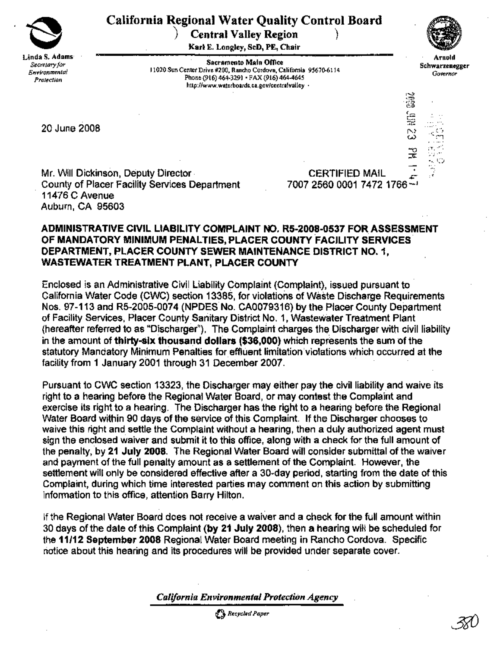

## California Regional Water Quality Control Board

Central Valley Region

Karl E. Longley, SeD, PE, Chair ...



Arnold Schwarzenegger *Governor*

 $\mathbb{I}^\infty$  ass $\vec{\imath}$ 

\* ...,<br>N ...

 $\cdot$  . I:::  $~\cdot$  1

Sacramento Main Office 11020 Sun Center Drive #200, Rancho Cordova, California 95670-6114 Phone (916) 464-3291 · FAX (916) 464-4645 http://www.waterboards.ca.gov/centralvalley •

20 June 2008

Mr. Will Dickinson, Deputy Director· County of Placer Facility Services Department 11476 C Avenue Auburn, CA 95603

CERTIFIED MAIL 700725600001 7472 1766-<sup>1</sup>

#### ADMINISTRATIVE CIVIL LIABILITY COMPLAINT NO. R5-2008·0537 FOR ASSESSMENT OF MANDATORY MINIMUM PENALTIES, PLACER COUNTY FACILITY SERVICES DEPARTMENT, PLACER COUNTY SEWER MAINTENANCE DISTRICT NO.1, WASTEWATER TREATMENT PLANT, PLACER COUNTY

Enclosed is an Administrative Civil Liability Complaint(Complaint), issued pursuant to . California Water Code (CWC) section 13385, for violations of Waste Discharge Requirements Nos. 97-113 and R5-2005-0074 (NPDES No. CA0079316) by the Placer County Department of Facility Services, Placer County Sanitary District No.1, Wastewater Treatment Plant (hereafter referred to as "Discharger"). The Complaint charges the Discharger with civil liability in the amount of thirty-six thousand dollars (\$36,000) which represents the sum of the statutory Mandatory Minimum Penalties for effluent limitation violations which occurred at the of Facility Services, Fracer County Sanitary District No. 1, Wastewater Treatment Frame (hereafter referred to as "Discharger"). The Complaint charges the Discharger with ci<br>in the amount of thirty-six thousand dollars (\$3

Pursuant to CWC section 13323, the Discharger may either pay the civil liability and waive its right to a hearing before the Regional Water Board, or may contest the Complaint and exercise its right to a hearing. The Discharger has the right to a hearing before the Regional Water Board within 90 days of the service of this Complaint. If the Discharger chooses to waive this right and settle the Complaint without a hearing, then a duly authorized agent must sign the enclosed waiver and submit it to this office, along with a check for the full amount of the penalty, by 21 July 2008. The Regional Water Board will consider submittal of the waiver and payment of the full penalty amount as a settlement of the Complaint. However, the settlement will only be considered effective after a 30·day period, starting from the date of this Complaint, during which time interested parties may comment on this action by submitting information to this office, attention Barry Hilton.

If the Regional Water Board does not receive a waiver and a check for the full amount within 30 days of the date of this Complaint (by 21 July 2008), then a hearing will be scheduled for the 11/12 September 2008 Regional Water Board meeting in Rancho Cordova. Specific notice about this hearing and its procedures will be prOVided under separate cover.

*California Environmental ProtectiOn Agency*

o *Recycled Paper*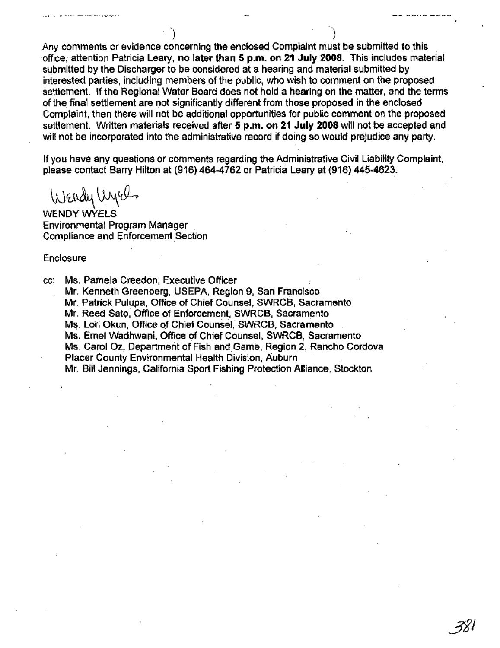Any comments or evidence concerning the enclosed Complaint must be submitted to this . -office," attention Patricia Leary, no later than 5 p.m. on 21 July 2008. This includes material submitted by the Discharger to be considered at a hearing and material submitted by interested parties, including members of the public, who wish to comment on the proposed settlement. If the Regional Water Board does not hold a hearing on the matter, and the terms of the final settlement are not significantly different from those proposed in the enclosed Complaint, then there will not be additional opportunities for public comment on the proposed settlement. Written materials received after 5 p.m. on 21 July 2008 will not be accepted and will not be incorporated into the administrative record if doing so would prejudice any party.

)

*fil*

If you have any questions or comments regarding the Administrative Civil Liability Complaint, please contact Barry Hilton at (916) 464-4762 or Patricia Leary at (916) 445-4623.

 $\bigcup$  Endy  $\bigcup_{\omega}$ 

WENDY WYELS Environmental Program Manager . Compliance and Enforcement Section

**Enclosure** 

cc: Ms. Pamela Creedon, Executive Officer Mr. Kenneth Greenberg, USEPA, Region 9, San Francisco Mr. Patrick Pulupa, Office of Chief Counsel, SWRCB, Sacramento Mr. Reed Sato, Office of Enforcement, SWRCB, Sacramento Ms. Lori Okun, Office of Chief Counsel, SWRCB, Sacramento Ms. Emel Wadhwani, Office of Chief Counsel, SWRCB, Sacramento Ms. Carol Oz, Department of Fish and Game, Reg'ion 2, Rancho Cordova Placer County Environmental Health Division, Auburn . Mr. Bill Jennings, California Sport Fishing Protection Alliance, Stockton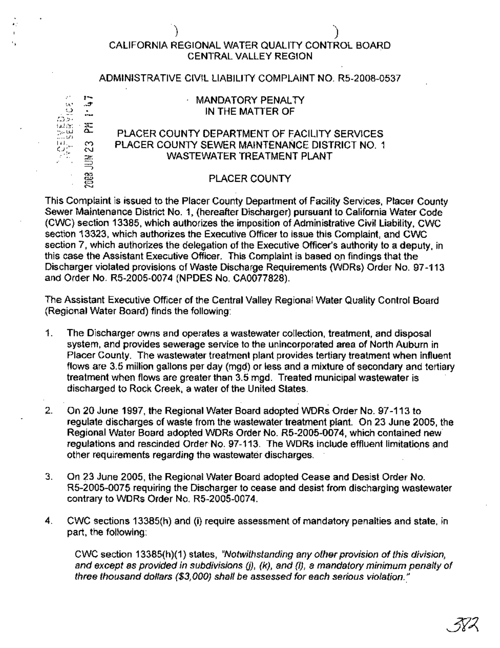# |<br>|EGIONAL WATER QUALITY CONTR<br>|- CENTRAL VALLEY REGION CALIFORNIA REGIONAL WATER QUALITY CONTROL BOARD CENTRAL VALLEY REGION

#### ADMINISTRATIVE CIVIL LIABILITY COMPLAINT NO. R5-2008-0537



.:

#### MANDATORY PENALTY IN THE MATTER OF

#### PLACER COUNTY DEPARTMENT OF FACILITY SERVICES PLACER COUNTY SEWER MAINTENANCE DISTRICT NO. 1 WASTEWATER TREATMENT PLANT

#### PLACER COUNTY

This Complaint is issued to the Placer County Department of Facility Services, Placer County Sewer Maintenance District No.1, (hereafter Discharger) pursuant to California Water Code (CWC) section 13385, which authorizes the imposition of Administrative Civil Liability, cwe section 13323, which authorizes the Executive Officer to issue this Complaint, and CWC section 7, which authorizes the delegation of the Executive Officer's authority to a deputy, in this case the Assistant Executive Officer. This Complaint is based on findings that the Discharger violated provisions of Waste Discharge Requirements (WDRs) Order No. 97-113 and Order No. R5-2005-0074 (NPDES No. CA0077828).

The Assistant Executive Officer of the Central Valley Regional Water Quality Control Board (Regional Water Board) finds the following:

- 1. The Discharger owns and operates a wastewater collection, treatment, and disposal system, and provides sewerage service to the unincorporated area of North Auburn in Placer County. The wastewater treatment plant provides tertiary treatment when influent flows are 3.5 million gallons per day (mgd) or less and a mixture of secondary and tertiary treatment when flows are greater than 3.5 mgd. Treated municipal wastewater is discharged to Rock Creek, a water of the United States.
- . . 2. On 20 June 1997, the Regional Water Board adopted WDRs Order No. 97-113 to regulate discharges of waste from the wastewater treatment plant. On 23 June 2005, the Regional Water Board adopted WDRs Order No. R5-2005-0074, which contained new' regulations and rescinded Order No. 97-113. The WDRs include effluent limitations and other requirements regarding the wastewater discharges. '
- 3. On 23 June 2005, the Regional Water Board adopted Cease and Desist Order No. R5-2005-0075 requiring the Discharger to cease and desist from discharging wastewater contrary to WDRs Order No. R5-2005-0074.
- 4. CWC sections 13385(h) and (i) require assessment of mandatory penalties and state, in part, the following:

CWC section 13385(h)(1) states, "Notwithstanding any other provision of this division, and except as provided in subdivisions  $(j)$ ,  $(k)$ , and  $(l)$ , a mandatory minimum penalty of three thousand dollars  $($ \$3,000) shall be assessed for each serious violation."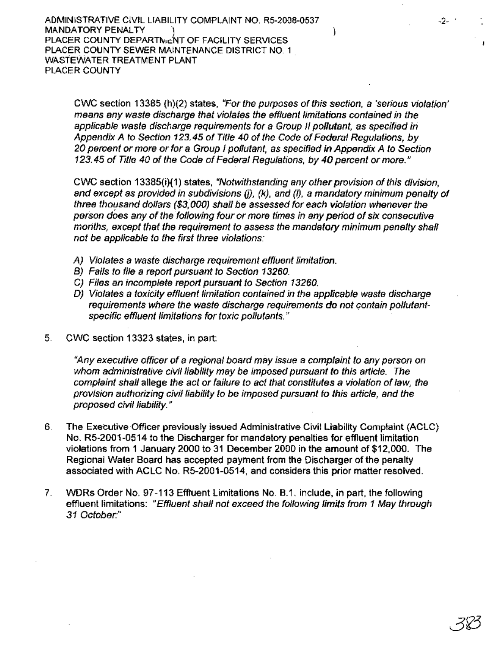CWC section 13385 (h)(2) states, "For the purposes of this section, a 'serious violation' means any waste discharge that violates the effluent limitations contained in the applicable waste discharge requirements for a Group /I pollutant, as specified in Appendix A to Section 123.45 of Tit/e 40 of the Code of Federal Regulations, by 20 percent or more or for a Group I pollutant, as specified in Appendix A to Section 123.45 of Title 40 of the Code of Federal Regulations, by 40 percent or more."

CWC section 13385(i)(1) states, "Notwithstanding any other provision of this division, and except as provided in subdivisions (j), (k), and (I), a mandatory minimum penalty of three thousand dollars (\$3,000) shall be assessed for each violation whenever the person does any of the following four or more times in any period of six consecutive months, except that the requirement to assess the mandatory minimum penalty shall not be applicable to the first three violations:

- A) Violates a waste discharge requirement effluent limitation.
- B) Fails to file a report pursuant to Section 13260.
- C) Files an incomplete report pursuant to Section 13260.
- 0) Violates a toxicity effluent limitation contained in the applicable waste discharge requirements where the waste discharge requirements do not contain pOllutantspecific effluent limitations for toxic pollutants."
- 5. CWC section 13323 states, in part:

"Any executive officer of a regional board may issue a complaint to any person on whom administrative civil liability may be imposed pursuant to this article. The complaint shall allege the act or failure to act that constitutes a violation of law, the provision authorizing civil liability to be imposed pursuant to this article, and the proposed civil liability."

- 6. The Executive Officer previously issued Administrative Civil Liability Complaint (ACLC) No. R5-2001-0\$14 to the Discharger for mandatory penalties for effluent limitation violations from 1 January 2000 to 31 December 2000 in the amount of \$12,000. The Regional Water Board has accepted payment from the Discharger of the penalty associated with ACLC No. R5-2001-0514, and considers this prior matter resolved.
- 7. WDRs Order No. 97-113 Effluent Limitations No. B.1. include, in part, the following effluent limitations: "Effluent shall not exceed the following limits from 1 May through *31* October:"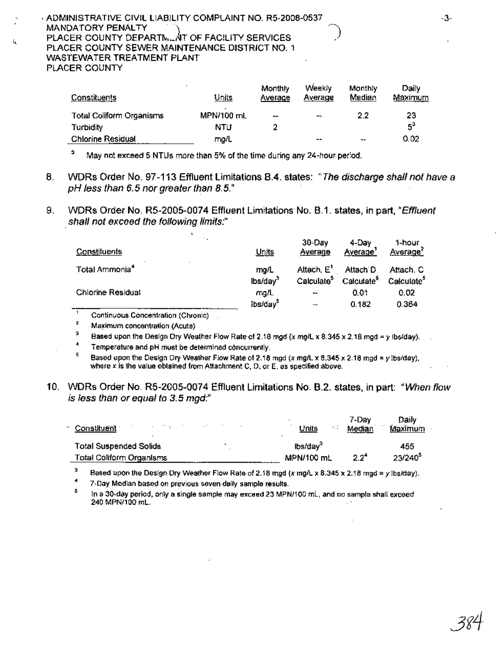#### · ADMINISTRATIVE CIVIL LIABILITY COMPLAINT NO. R5-2008-0537 MANDATORY PENALTY PLACER COUNTY DEPARTML AT OF FACILITY SERVICES PLACER COUNTY SEWER MAINTENANCE DISTRICT NO.1 WASTEWATER TREATMENT PLANT PLACER COUNTY

ú.

| Constituents                    | Units      | Monthly<br>Average | Weekly<br>Average | Monthly<br>Median | Daily<br>Maximum |
|---------------------------------|------------|--------------------|-------------------|-------------------|------------------|
| <b>Total Coliform Organisms</b> | MPN/100 mL | --                 | $++$              | 2.2               | 23               |
| Turbidity                       | NTU        |                    |                   |                   | $5^3$            |
| <b>Chlorine Residual</b>        | mg/L       |                    | --                | $-$               | 0.02             |

 $3$  May not exceed 5 NTUs more than 5% of the time during any 24-hour period.

- 8. WDRs Order No. 97-113 Effluent Limitations 8.4. states: "The discharge shall *not*have a pH less than 6.5 nor greater than 8.5."
- 9. WDRs Order No. R5-2005-0074 Effluent Limitations No. 8.1. states, in part, "Effluent shall not exceed the following limits:"

| $\ddot{\phantom{0}}$       | Units                             | 30-Day                 | 4-Dav                  | 1-hour                 |
|----------------------------|-----------------------------------|------------------------|------------------------|------------------------|
| Constituents               |                                   | Average                | Average                | <u>Averagef</u>        |
| Total Ammonia <sup>4</sup> | mg/L                              | Attach, E'             | Attach D               | Attach, C              |
|                            | lbs/day <sup>3</sup>              | Calculate <sup>5</sup> | Calculate <sup>5</sup> | Calculate <sup>5</sup> |
| <b>Chlorine Residual</b>   | mg/L                              | $-$                    | 0.01                   | 0.02                   |
|                            | $\frac{1}{2}$ bs/day <sup>3</sup> | $ -$                   | 0.182                  | 0.364                  |

Continuous Concentration (Chronic)

2 Maximum concentration (Acute)

3 Based upon the Design Dry Weather Flow Rate of 2.18 mgd (x mg/L <sup>x</sup> 8.345 <sup>x</sup> 2.18 mgd =*<sup>y</sup>* Ibs/day).

4 Temperature and pH must be determined concurrently.

5 Based upon the Design Dry Weather Flow Rate of 2.18 mgd (x mg/L x 8.345 x 2.18 mgd = y Ibs/day), where x is the value obtained from Attachment C, D, or E, as specified above.

10. WDRs Order No. R5-2005-0074 Effluent Limitations No. 8.2. states, in part: "When flow is less than or equal to 3.5 mgd:"

| Constituent<br><b>Total Suspended Solids</b> | Units<br>lbs/day <sup>3</sup> | Median  | Maximum<br>455 |
|----------------------------------------------|-------------------------------|---------|----------------|
| Total Coliform Organisms                     | MPN/100 mL                    | $2.2^4$ | $23/240^3$     |

3 Based upon the Design Dry Weather Flow Rate of 2.18 mgd (x mg/L x 8.345 x 2.18 mgd = y lbs/day).

4 7-Day Median based on previous seven daily sample results.

5 In a 30-day period, only a single sample may exceed 23 MPN/100 mL, and no sample shall exceed 240 MPNI100 mL.

-3-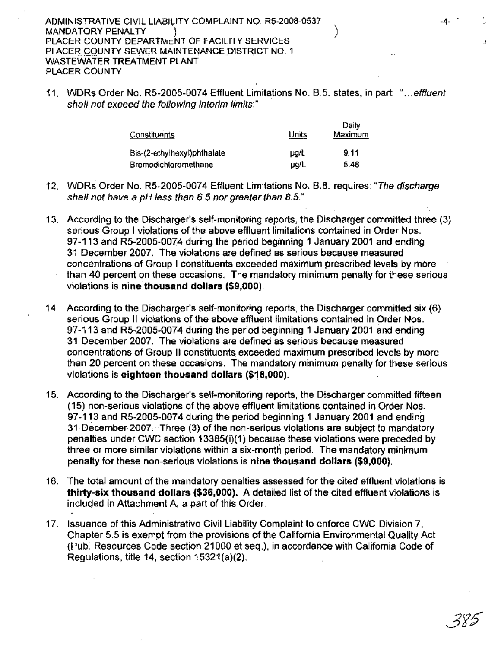11. WDRs Order No. R5-200S~0074 Effluent Limitations No. B.5. states, in part: "...effluent shall not exceed the following interim limits:"

| Constituents                | Units | Daily<br><b>Maximum</b> |
|-----------------------------|-------|-------------------------|
| Bis-(2-ethylhexyl)phthalate | µg/t  | 9.11                    |
| Bromodichloromethane        | µg/L  | 5.48                    |

- 12. WDRs Order No. R5-2005-0074 Effluent Limitations No. B.8. requires: "The discharge shall not have a pH less than 6.5 nor greater than 8.5."
- 13.. According to the Discharger's self-monitoring reports, the Discharger committed three (3) serious Group I violations of the above effluent limitations contained in Order Nos. 97-113 and R5-200S-0074 during the period beginning 1 January 2001 and ending 31 December 2007. The violations are defined as serious because measured concentrations of Group I constituents exceeded maximum prescribed levels by more than 40 percent on these occasions. The mandatory minimum penalty for these serious violations is nine thousand dollars (\$9,000).
- 14. According to the Discharger's self-monitoring reports, the Discharger committed six (6) serious Group II violations of the above effluent limitations contained in Order Nos. 97-113 and RS-2005-0074 during the period beginning 1 January 2001 and ending 31 December 2007. The violations are defined as serious because measured concentrations of Group II constituents exceeded maximum prescribed levels by more than 20 percent on these occasions. The mandatory minimum penalty for these serious violations is eighteen thousand dollars (\$18,000).
- 15. According to the Discharger's self-monitoring reports, the Discharger committed fifteen (15) non-serious violations of the above effluent limitations contained in Order Nos. 97..113 and R5-2005-0074 during the period beginning 1 January 2001 and ending 31 December 2007. Three (3) of the non-serious violations are subject to mandatory penalties under CWC section 13385(i)(1) because these violations were preceded by three or more similar violations within a six-month period. The mandatory minimum penalty for these non-serious violations is nine thousand dollars (\$9,000).
- 16. The total amount of the mandatory penalties assessed for the cited effluent violations is thirty-six thousand dollars (\$36,000). A detailed list of the cited effluent violations is included in Attachment A, a part of this Order.
- 17. Issuance of this Administrative Civil Liability Complaint to enforce CWC Division 7, Chapter 5.5 is exempt from the provisions of the California Environmental Quality Act (Pub~ Resources Code section 21000 et seq.), in accordance with California Code of Regulations, title 14, section 15321(a)(2).

 $\ddot{\phantom{}}$ 

-4- .

J.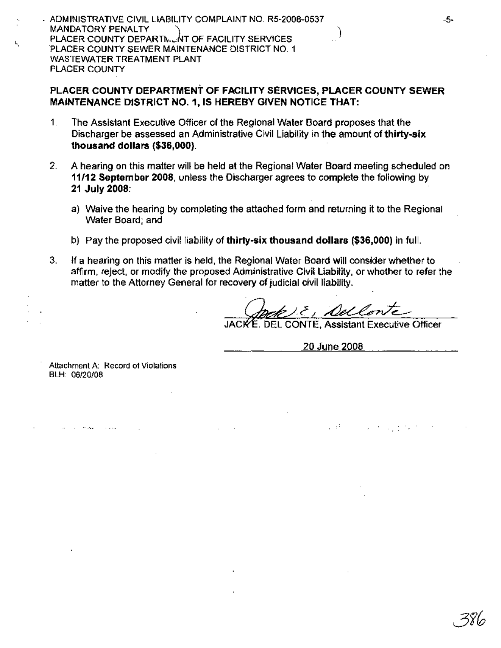· ADMINISTRATIVE CIVIL LIABILITY COMPLAINT NO. R5-2008-0537 MANDATORY PENALTY PLACER COUNTY DEPARTN.... NT OF FACILITY SERVICES PLACER COUNTY SEWER MAINTENANCE DISTRICT NO.1 WASTEWATER TREATMENT PLANT PLACER COUNTY

### PLACER COUNTY DEPARTMENT OF FACILITY SERVICES, PLACER COUNTY SEWER MAINTENANCE DISTRICT NO.1, IS HEREBY GIVEN NOTICE THAT:

- 1. The Assistant Executive Officer of the Regional Water Board proposes that the Discharger be assessed an Administrative Civil Liability in the amount of thirty-six thousand dollars (\$36,000).
- 2. A hearing on this matter will be held at the Regional Water Board meeting scheduled on 11/12 September 2008, unless the Discharger agreesto complete the following by 21 July 2008:
	- a) Waive the hearing by completing the attached form and returning it to the Regional Water Board; and
	- b) Pay the proposed civil liability of thirty-six thousand dollars  $(\$36,000)$  in full.
- 3. If a hearing on this matter is held, the Regional Water Board will consider whether to affirm, reject, or modify the proposed Administrative Civil Liability. or whether to refer the matter to the Attorney General for recovery of judicial civil liability. .

JACKE. DEL CONTE. Assistant Executive Officer

20 June 2008

in all

Attachment A: Record of Violations BLH: *06/20/08*

-5-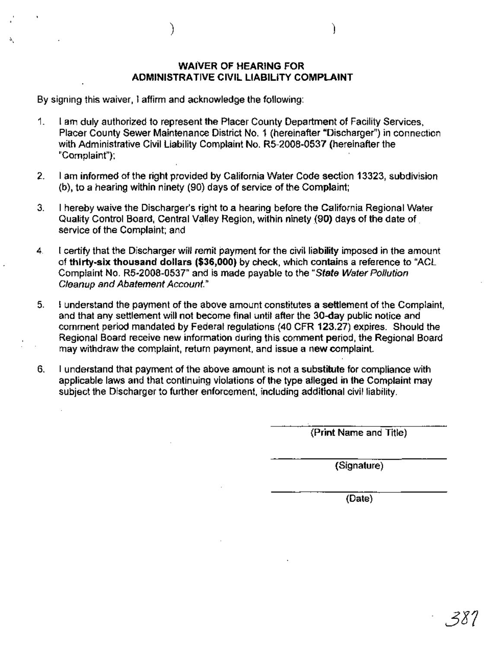#### WAIVER OF HEARING FOR ADMINISTRATIVE CIVIL LIABILITY COMPLAINT

) )

By signing this waiver, I affirm and acknowledge the following:

- 1. I am duly authorized to represent the Placer County Department of Facility Services, Placer County Sewer Maintenance District No.1 (hereinafter "Discharger") in connection with Administrative Civil Liability Complaint No. R5-2008-0537 (hereinafter the "Complaint");
- 2. I am informed of the right provided by California Water Code section 13323, subdivision (b), to a hearing within ninety (90) days of service of the Complaint;
- 3. I hereby waive the Discharger's right to a hearing before the California Regional Water Quality Control Board, Central Valley Region, within ninety (90) days of the date of . service of the Complaint; and.
- 4. I certify that the Discharger will remit payment for the civil liability imposed in the amount of thirty-six thousand dollars (\$36,000) by check, which contains a reference to "ACL Complaint No. R5-2008-053T' and is made payable to the"State Water Pollution Cleanup and Abatement Account."
- 5. I understand the payment of the above amount constitutes a settlement of the Complaint, and that any settlement will not become final until after the 30-day public notice and comment period mandated by Federal regulations (40 CFR 123.27) expires. Should the Regional Board receive new information during this comment period, the Regional Board may withdraw the complaint, return payment, and issue a new complaint.
- 6. I understand that payment of the above amount is not a substitute for compliance with applicable laws and that continuing violations of the type alleged in the Complaint may subject the Discharger to further enforcement, including additional civil liability.

(Print Name and Title)

(Signature)

(Date)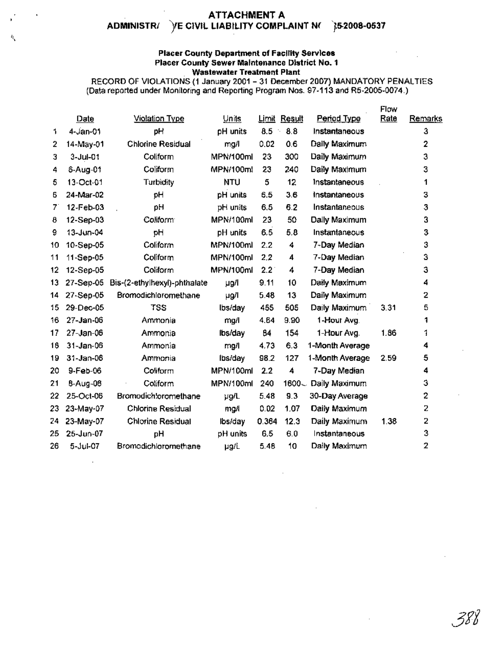#### ATTACHMENT A ADMINISTR/ )/E CIVIL LIABILITY COMPLAINT N( 15-2008-0537

1\,

#### Placer County Department of Facility Services Placer County Sewer Maintenance District No.1 Wastewater Treatment Plant

RECORD OF VIOLATIONS (1 January 2001- 31 December 2007) MANDATORY PENALTIES (Data reported under Monitoring and Reporting Program Nos. 97-113 and R5-2005-0074,)

|    |                 |                              |            |       |              |                 | Flow |                |
|----|-----------------|------------------------------|------------|-------|--------------|-----------------|------|----------------|
|    | Date            | <b>Violation Type</b>        | Units      |       | Limit Result | Period Type     | Rate | Remarks        |
| 1. | $4 - Jan-01$    | pH                           | pH units   | 8.5   | 8.8<br>÷,    | Instantaneous   |      | 3              |
| 2  | 14-May-01       | <b>Chlorine Residual</b>     | mg/l       | 0.02  | 0.6          | Daily Maximum   |      | $\overline{2}$ |
| 3  | $3 - Jul - 01$  | Coliform                     | MPN/100ml  | 23    | 300          | Daily Maximum   |      | 3              |
| 4  | 6-Aug-01        | Coliform                     | MPN/100ml  | 23    | 240          | Daily Maximum   |      | 3              |
| 5  | 13-Oct-01       | Turbidity                    | <b>NTU</b> | 5     | 12           | Instantaneous   |      | 1              |
| 6  | 24-Mar-02       | pH                           | pH units   | 6.5   | 3.6          | instantaneous   |      | 3              |
| 71 | 12-Feb-03       | pH                           | pH units   | 6.5   | 6.2          | Instantaneous   |      | 3              |
| 8  | 12-Sep-03       | Coliform                     | MPN/100ml  | 23    | 50           | Dally Maximum   |      | 3              |
| 9  | 13-Jun-04       | рH                           | pH units   | 6.5   | 5.8          | Instantaneous   |      | 3              |
| 10 | 10-Sep-05       | Coliform                     | MPN/100ml  | 2.2   | 4            | 7-Day Median    |      | 3              |
| 11 | 11-Sep-05       | Coliform                     | MPN/100ml  | 2.2   | 4            | 7-Day Median    |      | З              |
| 12 | 12-Sep-05       | Coliform                     | MPN/100ml  | 2.2   | 4            | 7-Day Median    |      | 3              |
| 13 | 27-Sep-05       | Bis-(2-ethylhexyl)-phthalate | µg/l       | 9.11  | 10           | Daily Maximum   |      | 4              |
| 14 | 27-Sep-05       | Bromodichloromethane         | µg/l       | 5.48  | 13           | Daily Maximum   |      | 2              |
| 15 | 29-Dec-05       | <b>TSS</b>                   | lbs/day    | 455   | 505          | Daily Maximum   | 3.31 | 5              |
| 16 | 27-Jan-06       | Ammonia                      | mg/l       | 4.64  | 9.90         | 1-Hour Avg.     |      | 1              |
| 17 | $27 - Jan - 06$ | Ammonia                      | lbs/day    | 84    | 154          | 1-Hour Avg.     | 1.86 | 1              |
| 18 | $31 - Jan-06$   | Ammonia                      | mg/l       | 4.73  | 6.3          | 1-Month Average |      | 4              |
| 19 | $31 - Jan-06$   | Ammonia                      | Ibs/day    | 98.2  | 127          | 1-Month Average | 2.59 | 5              |
| 20 | 9-Feb-06        | Coliform                     | MPN/100ml  | 2.2   | 4            | 7-Day Median    |      | 4              |
| 21 | 8-Aug-06        | Coliform                     | MPN/100ml  | 240   | 1600         | Daily Maximum   |      | 3              |
| 22 | 25-Oct-06       | Bromodich!oromethane         | µg/L       | 5.48  | 9.3          | 30-Day Average  |      | 2              |
| 23 | 23-May-07       | <b>Chlorine Residual</b>     | mg/l       | 0.02  | 1.07         | Daily Maximum   |      | 2              |
| 24 | 23-May-07       | <b>Chlorine Residual</b>     | lbs/day    | 0.364 | 12.3         | Daily Maximum   | 1.38 | 2              |
| 25 | 25-Jun-07       | рH                           | pH units   | 6.5   | 6.0          | Instantaneous   |      | 3              |
| 26 | 5-Jul-07        | Bromodichloromethane         | µg/L       | 5.48  | 10           | Daily Maximum   |      | $\overline{a}$ |
|    |                 |                              |            |       |              |                 |      |                |

-38